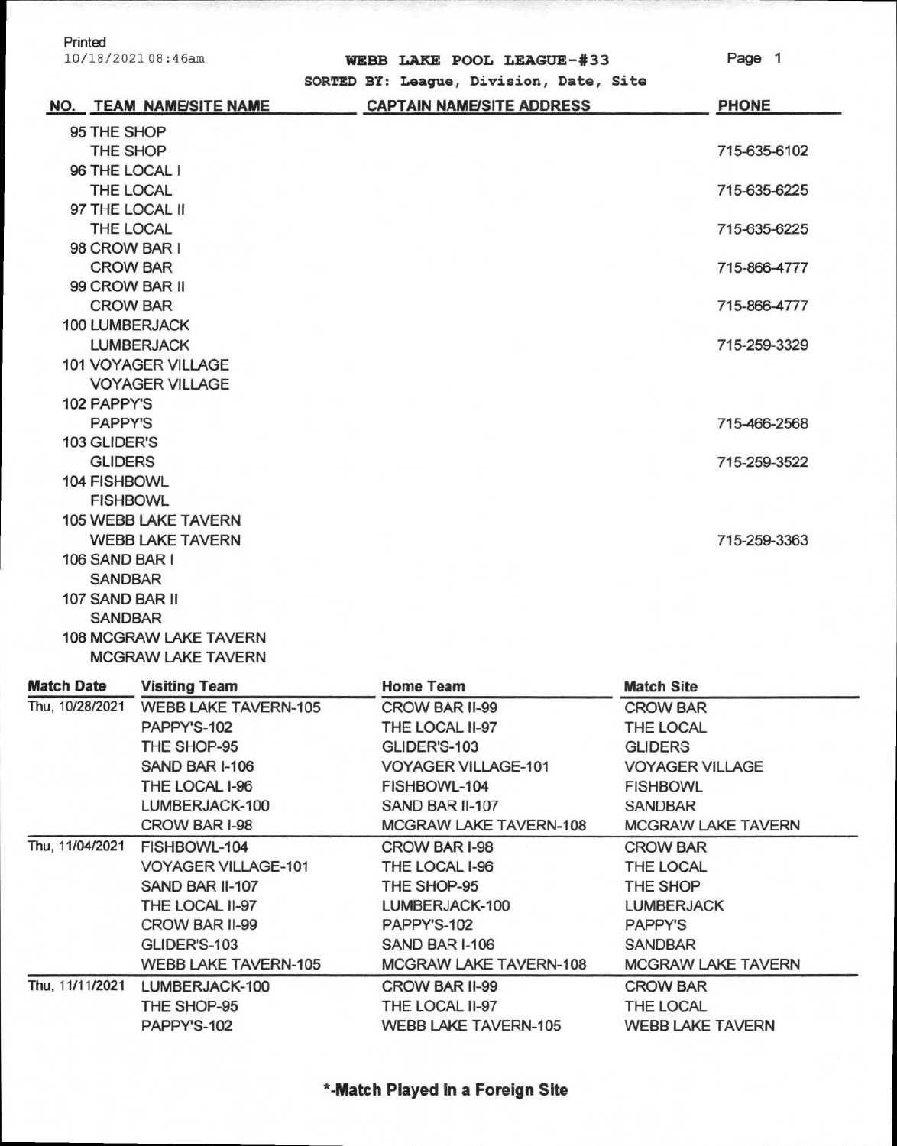| Printed<br>10/18/2021 08:46am | WEBB LAKE POOL LEAGUE-#33                                                   | Page 1       |
|-------------------------------|-----------------------------------------------------------------------------|--------------|
| NO. TEAM NAME/SITE NAME       | SORTED BY: League, Division, Date, Site<br><b>CAPTAIN NAME/SITE ADDRESS</b> | <b>PHONE</b> |
| 95 THE SHOP                   |                                                                             |              |
| THE SHOP                      |                                                                             | 715-635-6102 |
| 96 THE LOCAL I                |                                                                             |              |
| THE LOCAL                     |                                                                             | 715-635-6225 |
| 97 THE LOCAL II               |                                                                             |              |
| THE LOCAL                     |                                                                             | 715-635-6225 |
| 98 CROW BAR I                 |                                                                             |              |
| <b>CROW BAR</b>               |                                                                             | 715-866-4777 |
| 99 CROW BAR II                |                                                                             |              |
| <b>CROW BAR</b>               |                                                                             | 715-866-4777 |
| 100 LUMBERJACK                |                                                                             |              |
| <b>LUMBERJACK</b>             |                                                                             | 715-259-3329 |
| 101 VOYAGER VILLAGE           |                                                                             |              |
| <b>VOYAGER VILLAGE</b>        |                                                                             |              |
| 102 PAPPY'S                   |                                                                             |              |
| <b>PAPPY'S</b>                |                                                                             | 715-466-2568 |
| 103 GLIDER'S                  |                                                                             |              |
| <b>GLIDERS</b>                |                                                                             | 715-259-3522 |
| 104 FISHBOWL                  |                                                                             |              |
| <b>FISHBOWL</b>               |                                                                             |              |
| <b>105 WEBB LAKE TAVERN</b>   |                                                                             |              |
| <b>WEBB LAKE TAVERN</b>       |                                                                             | 715-259-3363 |
| 106 SAND BAR I                |                                                                             |              |
| <b>SANDBAR</b>                |                                                                             |              |
| 107 SAND BAR II               |                                                                             |              |
| <b>SANDBAR</b>                |                                                                             |              |
| <b>108 MCGRAW LAKE TAVERN</b> |                                                                             |              |
| <b>MCGRAW LAKE TAVERN</b>     |                                                                             |              |

| <b>Match Date</b> | <b>Visiting Team</b>        | <b>Home Team</b>            | <b>Match Site</b>         |  |
|-------------------|-----------------------------|-----------------------------|---------------------------|--|
| Thu, 10/28/2021   | <b>WEBB LAKE TAVERN-105</b> | CROW BAR II-99              | <b>CROW BAR</b>           |  |
|                   | PAPPY'S-102                 | THE LOCAL II-97             | THE LOCAL                 |  |
|                   | THE SHOP-95                 | GLIDER'S-103                | <b>GLIDERS</b>            |  |
|                   | SAND BAR I-106              | <b>VOYAGER VILLAGE-101</b>  | <b>VOYAGER VILLAGE</b>    |  |
|                   | THE LOCAL I-96              | FISHBOWL-104                | <b>FISHBOWL</b>           |  |
|                   | LUMBERJACK-100              | SAND BAR II-107             | SANDBAR                   |  |
|                   | CROW BAR I-98               | MCGRAW LAKE TAVERN-108      | <b>MCGRAW LAKE TAVERN</b> |  |
| Thu, 11/04/2021   | FISHBOWL-104                | CROW BAR I-98               | <b>CROW BAR</b>           |  |
|                   | <b>VOYAGER VILLAGE-101</b>  | THE LOCAL I-96              | THE LOCAL                 |  |
|                   | SAND BAR II-107             | THE SHOP-95                 | THE SHOP                  |  |
|                   | THE LOCAL II-97             | LUMBERJACK-100              | LUMBERJACK                |  |
|                   | CROW BAR II-99              | PAPPY'S-102                 | <b>PAPPY'S</b>            |  |
|                   | GLIDER'S-103                | SAND BAR I-106              | SANDBAR                   |  |
|                   | WEBB LAKE TAVERN-105        | MCGRAW LAKE TAVERN-108      | <b>MCGRAW LAKE TAVERN</b> |  |
| Thu, 11/11/2021   | LUMBERJACK-100              | CROW BAR II-99              | <b>CROW BAR</b>           |  |
|                   | THE SHOP-95                 | THE LOCAL II-97             | THE LOCAL                 |  |
|                   | PAPPY'S-102                 | <b>WEBB LAKE TAVERN-105</b> | <b>WEBB LAKE TAVERN</b>   |  |
|                   |                             |                             |                           |  |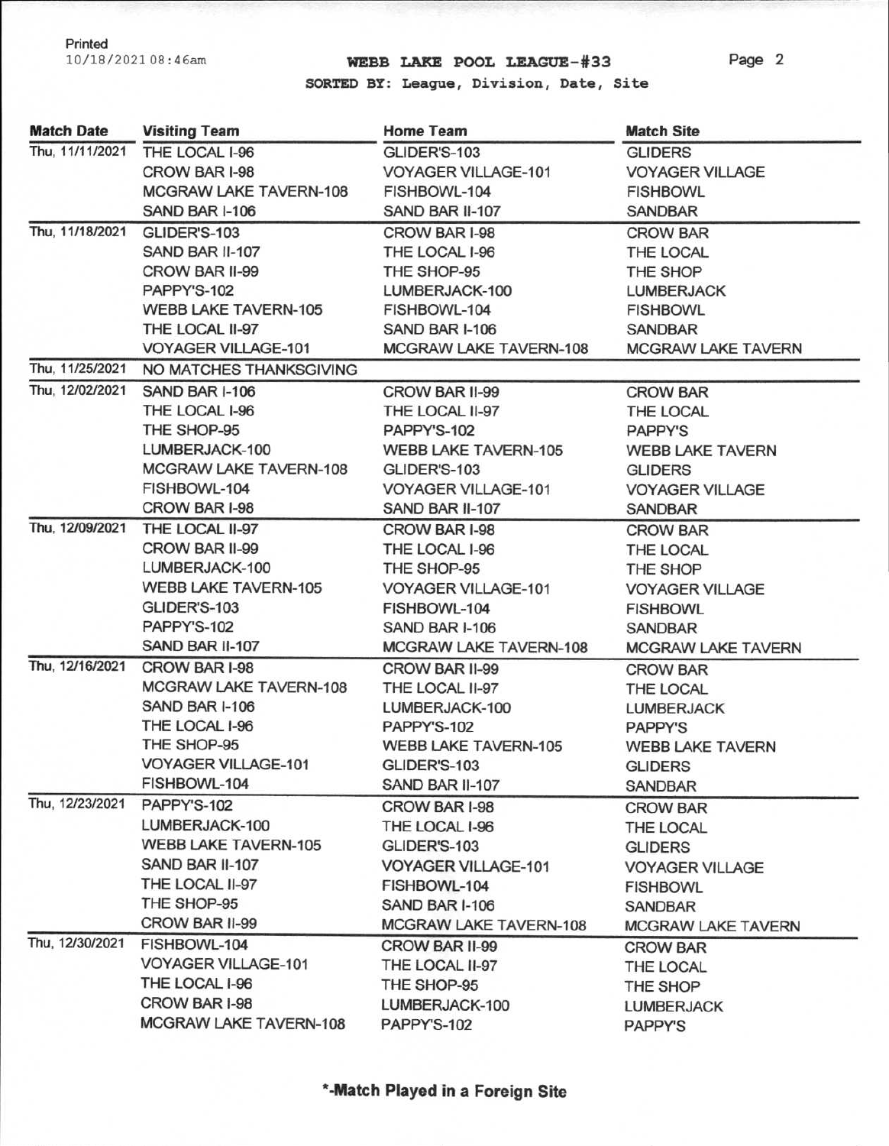## 10/18/202108:46am **WEBB LAKE POOL LEAGUE-#33**

Page 2

**SORTED BY: League, Division, Date, Site** 

| <b>Match Date</b> | <b>Visiting Team</b>          | <b>Home Team</b>              | <b>Match Site</b>         |
|-------------------|-------------------------------|-------------------------------|---------------------------|
| Thu, 11/11/2021   | THE LOCAL I-96                | GLIDER'S-103                  | <b>GLIDERS</b>            |
|                   | CROW BAR I-98                 | <b>VOYAGER VILLAGE-101</b>    | <b>VOYAGER VILLAGE</b>    |
|                   | <b>MCGRAW LAKE TAVERN-108</b> | FISHBOWL-104                  | <b>FISHBOWL</b>           |
|                   | SAND BAR I-106                | SAND BAR II-107               | <b>SANDBAR</b>            |
| Thu, 11/18/2021   | GLIDER'S-103                  | CROW BAR I-98                 | <b>CROW BAR</b>           |
|                   | SAND BAR II-107               | THE LOCAL I-96                | THE LOCAL                 |
|                   | CROW BAR II-99                | THE SHOP-95                   | THE SHOP                  |
|                   | PAPPY'S-102                   | LUMBERJACK-100                | <b>LUMBERJACK</b>         |
|                   | <b>WEBB LAKE TAVERN-105</b>   | FISHBOWL-104                  | <b>FISHBOWL</b>           |
|                   | THE LOCAL II-97               | SAND BAR I-106                | <b>SANDBAR</b>            |
|                   | <b>VOYAGER VILLAGE-101</b>    | <b>MCGRAW LAKE TAVERN-108</b> | <b>MCGRAW LAKE TAVERN</b> |
| Thu, 11/25/2021   | NO MATCHES THANKSGIVING       |                               |                           |
| Thu, 12/02/2021   | SAND BAR I-106                | CROW BAR II-99                | <b>CROW BAR</b>           |
|                   | THE LOCAL I-96                | THE LOCAL II-97               | THE LOCAL                 |
|                   | THE SHOP-95                   | PAPPY'S-102                   | <b>PAPPY'S</b>            |
|                   | LUMBERJACK-100                | <b>WEBB LAKE TAVERN-105</b>   | <b>WEBB LAKE TAVERN</b>   |
|                   | MCGRAW LAKE TAVERN-108        | GLIDER'S-103                  | <b>GLIDERS</b>            |
|                   | FISHBOWL-104                  | VOYAGER VILLAGE-101           | <b>VOYAGER VILLAGE</b>    |
|                   | CROW BAR I-98                 | SAND BAR II-107               | <b>SANDBAR</b>            |
| Thu, 12/09/2021   | THE LOCAL II-97               | CROW BAR I-98                 | <b>CROW BAR</b>           |
|                   | CROW BAR II-99                | THE LOCAL I-96                | THE LOCAL                 |
|                   | LUMBERJACK-100                | THE SHOP-95                   | THE SHOP                  |
|                   | <b>WEBB LAKE TAVERN-105</b>   | <b>VOYAGER VILLAGE-101</b>    | <b>VOYAGER VILLAGE</b>    |
|                   | GLIDER'S-103                  | FISHBOWL-104                  | <b>FISHBOWL</b>           |
|                   | PAPPY'S-102                   | SAND BAR I-106                | <b>SANDBAR</b>            |
|                   | SAND BAR II-107               | MCGRAW LAKE TAVERN-108        | <b>MCGRAW LAKE TAVERN</b> |
| Thu, 12/16/2021   | <b>CROW BAR I-98</b>          | CROW BAR II-99                | <b>CROW BAR</b>           |
|                   | MCGRAW LAKE TAVERN-108        | THE LOCAL II-97               | THE LOCAL                 |
|                   | SAND BAR I-106                | LUMBERJACK-100                | <b>LUMBERJACK</b>         |
|                   | THE LOCAL I-96                | PAPPY'S-102                   | <b>PAPPY'S</b>            |
|                   | THE SHOP-95                   | <b>WEBB LAKE TAVERN-105</b>   | <b>WEBB LAKE TAVERN</b>   |
|                   | <b>VOYAGER VILLAGE-101</b>    | GLIDER'S-103                  | <b>GLIDERS</b>            |
|                   | FISHBOWL-104                  | SAND BAR II-107               | <b>SANDBAR</b>            |
| Thu, 12/23/2021   | PAPPY'S-102                   | CROW BAR I-98                 | <b>CROW BAR</b>           |
|                   | LUMBERJACK-100                | THE LOCAL I-96                | THE LOCAL                 |
|                   | <b>WEBB LAKE TAVERN-105</b>   | GLIDER'S-103                  | <b>GLIDERS</b>            |
|                   | SAND BAR II-107               | <b>VOYAGER VILLAGE-101</b>    | <b>VOYAGER VILLAGE</b>    |
|                   | THE LOCAL II-97               | FISHBOWL-104                  | <b>FISHBOWL</b>           |
|                   | THE SHOP-95                   | SAND BAR I-106                | SANDBAR                   |
|                   | CROW BAR II-99                | MCGRAW LAKE TAVERN-108        | <b>MCGRAW LAKE TAVERN</b> |
| Thu, 12/30/2021   | FISHBOWL-104                  | CROW BAR II-99                | <b>CROW BAR</b>           |
|                   | <b>VOYAGER VILLAGE-101</b>    | THE LOCAL II-97               | THE LOCAL                 |
|                   | THE LOCAL I-96                | THE SHOP-95                   | THE SHOP                  |
|                   | CROW BAR I-98                 | LUMBERJACK-100                | <b>LUMBERJACK</b>         |
|                   | MCGRAW LAKE TAVERN-108        | PAPPY'S-102                   | <b>PAPPY'S</b>            |
|                   |                               |                               |                           |

**\* -Match Played in a Foreign Site**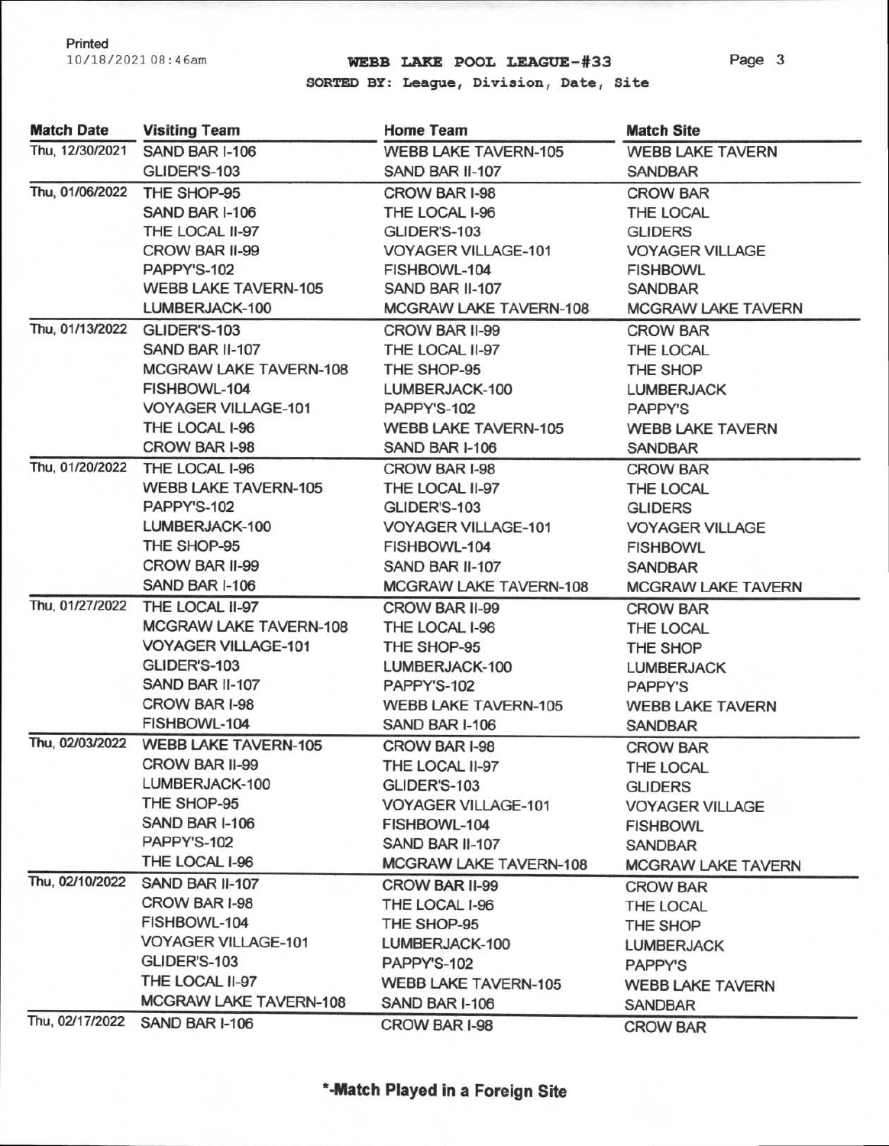## 10/18/202108:46am **WEBB LAKE POOL LEAGUE-#33**

Page 3

**SORTED BY: League, Division, Date, Site** 

| <b>Match Date</b> | <b>Visiting Team</b>                 | <b>Home Team</b>              | <b>Match Site</b>         |
|-------------------|--------------------------------------|-------------------------------|---------------------------|
| Thu, 12/30/2021   | SAND BAR I-106                       | <b>WEBB LAKE TAVERN-105</b>   | <b>WEBB LAKE TAVERN</b>   |
|                   | GLIDER'S-103                         | SAND BAR II-107               | <b>SANDBAR</b>            |
| Thu, 01/06/2022   | THE SHOP-95                          | CROW BAR I-98                 | <b>CROW BAR</b>           |
|                   | SAND BAR I-106                       | THE LOCAL I-96                | THE LOCAL                 |
|                   | THE LOCAL II-97                      | GLIDER'S-103                  | <b>GLIDERS</b>            |
|                   | CROW BAR II-99                       | <b>VOYAGER VILLAGE-101</b>    | <b>VOYAGER VILLAGE</b>    |
|                   | PAPPY'S-102                          | FISHBOWL-104                  | <b>FISHBOWL</b>           |
|                   | <b>WEBB LAKE TAVERN-105</b>          | SAND BAR II-107               | <b>SANDBAR</b>            |
|                   | LUMBERJACK-100                       | MCGRAW LAKE TAVERN-108        | <b>MCGRAW LAKE TAVERN</b> |
|                   | Thu, 01/13/2022 GLIDER'S-103         | CROW BAR II-99                | <b>CROW BAR</b>           |
|                   | SAND BAR II-107                      | THE LOCAL II-97               | THE LOCAL                 |
|                   | MCGRAW LAKE TAVERN-108               | THE SHOP-95                   | THE SHOP                  |
|                   | FISHBOWL-104                         | LUMBERJACK-100                | <b>LUMBERJACK</b>         |
|                   | <b>VOYAGER VILLAGE-101</b>           | PAPPY'S-102                   | <b>PAPPY'S</b>            |
|                   | THE LOCAL I-96                       | <b>WEBB LAKE TAVERN-105</b>   | <b>WEBB LAKE TAVERN</b>   |
|                   | CROW BAR I-98                        | SAND BAR I-106                | <b>SANDBAR</b>            |
| Thu, 01/20/2022   | THE LOCAL I-96                       | CROW BAR I-98                 | <b>CROW BAR</b>           |
|                   | <b>WEBB LAKE TAVERN-105</b>          | THE LOCAL II-97               | THE LOCAL                 |
|                   | PAPPY'S-102                          | GLIDER'S-103                  | <b>GLIDERS</b>            |
|                   | LUMBERJACK-100                       | <b>VOYAGER VILLAGE-101</b>    | <b>VOYAGER VILLAGE</b>    |
|                   | THE SHOP-95                          | FISHBOWL-104                  | <b>FISHBOWL</b>           |
|                   | CROW BAR II-99                       | SAND BAR II-107               | <b>SANDBAR</b>            |
|                   | SAND BAR I-106                       | <b>MCGRAW LAKE TAVERN-108</b> | <b>MCGRAW LAKE TAVERN</b> |
| Thu, 01/27/2022   | THE LOCAL II-97                      | CROW BAR II-99                | <b>CROW BAR</b>           |
|                   | MCGRAW LAKE TAVERN-108               | THE LOCAL I-96                | THE LOCAL                 |
|                   | <b>VOYAGER VILLAGE-101</b>           | THE SHOP-95                   | THE SHOP                  |
|                   | GLIDER'S-103                         | LUMBERJACK-100                | <b>LUMBERJACK</b>         |
|                   | SAND BAR II-107                      | PAPPY'S-102                   | PAPPY'S                   |
|                   | CROW BAR I-98                        | <b>WEBB LAKE TAVERN-105</b>   | <b>WEBB LAKE TAVERN</b>   |
|                   | FISHBOWL-104                         | SAND BAR I-106                | <b>SANDBAR</b>            |
|                   | Thu, 02/03/2022 WEBB LAKE TAVERN-105 | CROW BAR I-98                 | <b>CROW BAR</b>           |
|                   | CROW BAR II-99                       | THE LOCAL II-97               | THE LOCAL                 |
|                   | LUMBERJACK-100                       | GLIDER'S-103                  | <b>GLIDERS</b>            |
|                   | THE SHOP-95                          | VOYAGER VILLAGE-101           | <b>VOYAGER VILLAGE</b>    |
|                   | SAND BAR I-106                       | FISHBOWL-104                  | <b>FISHBOWL</b>           |
|                   | PAPPY'S-102                          | SAND BAR II-107               | SANDBAR                   |
|                   | THE LOCAL I-96                       | MCGRAW LAKE TAVERN-108        | <b>MCGRAW LAKE TAVERN</b> |
| Thu, 02/10/2022   | SAND BAR II-107                      | CROW BAR II-99                | <b>CROW BAR</b>           |
|                   | CROW BAR I-98                        | THE LOCAL I-96                | THE LOCAL                 |
|                   | FISHBOWL-104                         | THE SHOP-95                   | THE SHOP                  |
|                   | <b>VOYAGER VILLAGE-101</b>           | LUMBERJACK-100                | <b>LUMBERJACK</b>         |
|                   | GLIDER'S-103                         | PAPPY'S-102                   | <b>PAPPY'S</b>            |
|                   | THE LOCAL II-97                      | <b>WEBB LAKE TAVERN-105</b>   | <b>WEBB LAKE TAVERN</b>   |
|                   | MCGRAW LAKE TAVERN-108               | SAND BAR I-106                | <b>SANDBAR</b>            |
| Thu, 02/17/2022   | SAND BAR I-106                       | CROW BAR I-98                 | <b>CROW BAR</b>           |